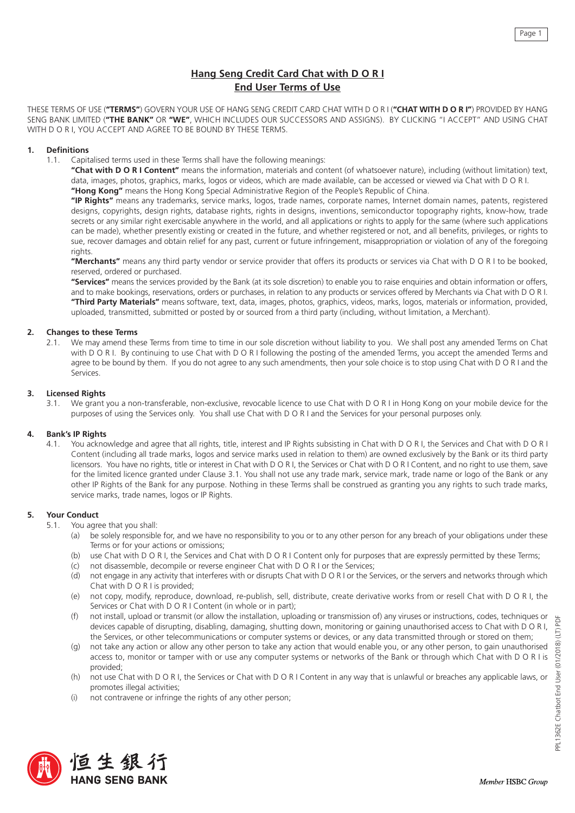# **Hang Seng Credit Card Chat with D O R I End User Terms of Use**

THESE TERMS OF USE (**"TERMS"**) GOVERN YOUR USE OF HANG SENG CREDIT CARD CHAT WITH D O R I (**"CHAT WITH D O R I"**) PROVIDED BY HANG SENG BANK LIMITED (**"THE BANK"** OR **"WE"**, WHICH INCLUDES OUR SUCCESSORS AND ASSIGNS). BY CLICKING "I ACCEPT" AND USING CHAT WITH D O R I, YOU ACCEPT AND AGREE TO BE BOUND BY THESE TERMS.

## **1. Definitions**

1.1. Capitalised terms used in these Terms shall have the following meanings:

**"Chat with D O R I Content"** means the information, materials and content (of whatsoever nature), including (without limitation) text, data, images, photos, graphics, marks, logos or videos, which are made available, can be accessed or viewed via Chat with D O R I. **"Hong Kong"** means the Hong Kong Special Administrative Region of the People's Republic of China.

**"IP Rights"** means any trademarks, service marks, logos, trade names, corporate names, Internet domain names, patents, registered designs, copyrights, design rights, database rights, rights in designs, inventions, semiconductor topography rights, know-how, trade secrets or any similar right exercisable anywhere in the world, and all applications or rights to apply for the same (where such applications can be made), whether presently existing or created in the future, and whether registered or not, and all benefits, privileges, or rights to sue, recover damages and obtain relief for any past, current or future infringement, misappropriation or violation of any of the foregoing rights

**"Merchants"** means any third party vendor or service provider that offers its products or services via Chat with D O R I to be booked, reserved, ordered or purchased.

**"Services"** means the services provided by the Bank (at its sole discretion) to enable you to raise enquiries and obtain information or offers, and to make bookings, reservations, orders or purchases, in relation to any products or services offered by Merchants via Chat with D O R I. **"Third Party Materials"** means software, text, data, images, photos, graphics, videos, marks, logos, materials or information, provided, uploaded, transmitted, submitted or posted by or sourced from a third party (including, without limitation, a Merchant).

# **2. Changes to these Terms**

2.1. We may amend these Terms from time to time in our sole discretion without liability to you. We shall post any amended Terms on Chat with D O R I. By continuing to use Chat with D O R I following the posting of the amended Terms, you accept the amended Terms and agree to be bound by them. If you do not agree to any such amendments, then your sole choice is to stop using Chat with D O R I and the Services.

## **3. Licensed Rights**

3.1. We grant you a non-transferable, non-exclusive, revocable licence to use Chat with D O R I in Hong Kong on your mobile device for the purposes of using the Services only. You shall use Chat with D O R I and the Services for your personal purposes only.

# **4. Bank's IP Rights**

4.1. You acknowledge and agree that all rights, title, interest and IP Rights subsisting in Chat with D O R I, the Services and Chat with D O R I Content (including all trade marks, logos and service marks used in relation to them) are owned exclusively by the Bank or its third party licensors. You have no rights, title or interest in Chat with D O R I, the Services or Chat with D O R I Content, and no right to use them, save for the limited licence granted under Clause 3.1. You shall not use any trade mark, service mark, trade name or logo of the Bank or any other IP Rights of the Bank for any purpose. Nothing in these Terms shall be construed as granting you any rights to such trade marks, service marks, trade names, logos or IP Rights.

# **5. Your Conduct**

- 5.1. You agree that you shall:
	- (a) be solely responsible for, and we have no responsibility to you or to any other person for any breach of your obligations under these Terms or for your actions or omissions;
	- (b) use Chat with D O R I, the Services and Chat with D O R I Content only for purposes that are expressly permitted by these Terms;
	- (c) not disassemble, decompile or reverse engineer Chat with D O R I or the Services;
	- (d) not engage in any activity that interferes with or disrupts Chat with D O R I or the Services, or the servers and networks through which Chat with D O R I is provided;
	- (e) not copy, modify, reproduce, download, re-publish, sell, distribute, create derivative works from or resell Chat with D O R I, the Services or Chat with D O R I Content (in whole or in part);
	- (f) not install, upload or transmit (or allow the installation, uploading or transmission of) any viruses or instructions, codes, techniques or devices capable of disrupting, disabling, damaging, shutting down, monitoring or gaining unauthorised access to Chat with D O R I, the Services, or other telecommunications or computer systems or devices, or any data transmitted through or stored on them;
	- (g) not take any action or allow any other person to take any action that would enable you, or any other person, to gain unauthorised access to, monitor or tamper with or use any computer systems or networks of the Bank or through which Chat with D O R I is provided;
	- (h) not use Chat with D O R I, the Services or Chat with D O R I Content in any way that is unlawful or breaches any applicable laws, or promotes illegal activities;
	- (i) not contravene or infringe the rights of any other person;



þF

Page 1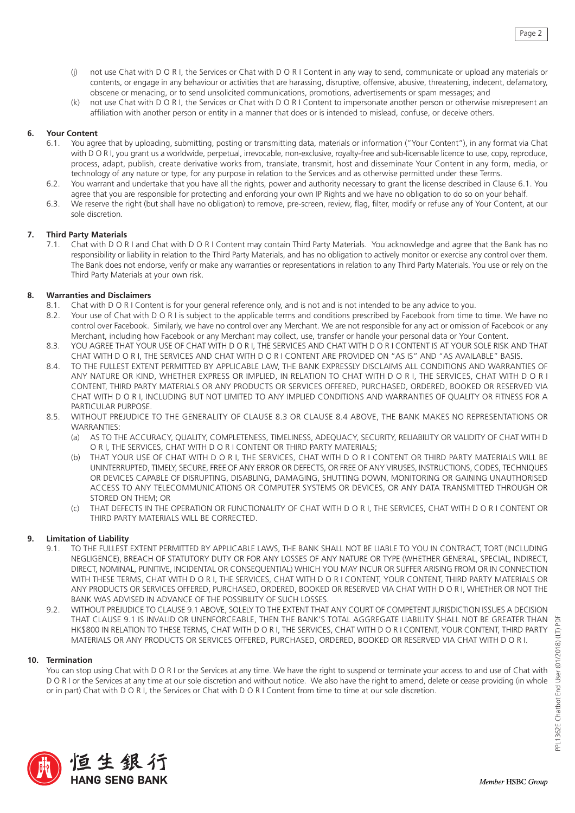- (j) not use Chat with D O R I, the Services or Chat with D O R I Content in any way to send, communicate or upload any materials or contents, or engage in any behaviour or activities that are harassing, disruptive, offensive, abusive, threatening, indecent, defamatory, obscene or menacing, or to send unsolicited communications, promotions, advertisements or spam messages; and
- (k) not use Chat with D O R I, the Services or Chat with D O R I Content to impersonate another person or otherwise misrepresent an affiliation with another person or entity in a manner that does or is intended to mislead, confuse, or deceive others.

## **6. Your Content**

- 6.1. You agree that by uploading, submitting, posting or transmitting data, materials or information ("Your Content"), in any format via Chat with D O R I, you grant us a worldwide, perpetual, irrevocable, non-exclusive, royalty-free and sub-licensable licence to use, copy, reproduce, process, adapt, publish, create derivative works from, translate, transmit, host and disseminate Your Content in any form, media, or technology of any nature or type, for any purpose in relation to the Services and as otherwise permitted under these Terms.
- 6.2. You warrant and undertake that you have all the rights, power and authority necessary to grant the license described in Clause 6.1. You agree that you are responsible for protecting and enforcing your own IP Rights and we have no obligation to do so on your behalf.
- 6.3. We reserve the right (but shall have no obligation) to remove, pre-screen, review, flag, filter, modify or refuse any of Your Content, at our sole discretion.

## **7. Third Party Materials**

7.1. Chat with D O R I and Chat with D O R I Content may contain Third Party Materials. You acknowledge and agree that the Bank has no responsibility or liability in relation to the Third Party Materials, and has no obligation to actively monitor or exercise any control over them. The Bank does not endorse, verify or make any warranties or representations in relation to any Third Party Materials. You use or rely on the Third Party Materials at your own risk.

# **8. Warranties and Disclaimers**

- 8.1. Chat with D O R I Content is for your general reference only, and is not and is not intended to be any advice to you.
- 8.2. Your use of Chat with D O R I is subject to the applicable terms and conditions prescribed by Facebook from time to time. We have no control over Facebook. Similarly, we have no control over any Merchant. We are not responsible for any act or omission of Facebook or any Merchant, including how Facebook or any Merchant may collect, use, transfer or handle your personal data or Your Content.
- 8.3. YOU AGREE THAT YOUR USE OF CHAT WITH D O R I, THE SERVICES AND CHAT WITH D O R I CONTENT IS AT YOUR SOLE RISK AND THAT CHAT WITH D O R I, THE SERVICES AND CHAT WITH D O R I CONTENT ARE PROVIDED ON "AS IS" AND "AS AVAILABLE" BASIS.
- 8.4. TO THE FULLEST EXTENT PERMITTED BY APPLICABLE LAW, THE BANK EXPRESSLY DISCLAIMS ALL CONDITIONS AND WARRANTIES OF ANY NATURE OR KIND, WHETHER EXPRESS OR IMPLIED, IN RELATION TO CHAT WITH D O R I, THE SERVICES, CHAT WITH D O R I CONTENT, THIRD PARTY MATERIALS OR ANY PRODUCTS OR SERVICES OFFERED, PURCHASED, ORDERED, BOOKED OR RESERVED VIA CHAT WITH D O R I, INCLUDING BUT NOT LIMITED TO ANY IMPLIED CONDITIONS AND WARRANTIES OF QUALITY OR FITNESS FOR A PARTICULAR PURPOSE.
- 8.5. WITHOUT PREJUDICE TO THE GENERALITY OF CLAUSE 8.3 OR CLAUSE 8.4 ABOVE, THE BANK MAKES NO REPRESENTATIONS OR **WARRANTIFS:** 
	- (a) AS TO THE ACCURACY, QUALITY, COMPLETENESS, TIMELINESS, ADEQUACY, SECURITY, RELIABILITY OR VALIDITY OF CHAT WITH D O R I, THE SERVICES, CHAT WITH D O R I CONTENT OR THIRD PARTY MATERIALS;
	- (b) THAT YOUR USE OF CHAT WITH D O R I, THE SERVICES, CHAT WITH D O R I CONTENT OR THIRD PARTY MATERIALS WILL BE UNINTERRUPTED, TIMELY, SECURE, FREE OF ANY ERROR OR DEFECTS, OR FREE OF ANY VIRUSES, INSTRUCTIONS, CODES, TECHNIQUES OR DEVICES CAPABLE OF DISRUPTING, DISABLING, DAMAGING, SHUTTING DOWN, MONITORING OR GAINING UNAUTHORISED ACCESS TO ANY TELECOMMUNICATIONS OR COMPUTER SYSTEMS OR DEVICES, OR ANY DATA TRANSMITTED THROUGH OR STORED ON THEM; OR
	- (c) THAT DEFECTS IN THE OPERATION OR FUNCTIONALITY OF CHAT WITH D O R I, THE SERVICES, CHAT WITH D O R I CONTENT OR THIRD PARTY MATERIALS WILL BE CORRECTED.

# **9. Limitation of Liability**

- 9.1. TO THE FULLEST EXTENT PERMITTED BY APPLICABLE LAWS, THE BANK SHALL NOT BE LIABLE TO YOU IN CONTRACT, TORT (INCLUDING NEGLIGENCE), BREACH OF STATUTORY DUTY OR FOR ANY LOSSES OF ANY NATURE OR TYPE (WHETHER GENERAL, SPECIAL, INDIRECT, DIRECT, NOMINAL, PUNITIVE, INCIDENTAL OR CONSEQUENTIAL) WHICH YOU MAY INCUR OR SUFFER ARISING FROM OR IN CONNECTION WITH THESE TERMS, CHAT WITH D O R I, THE SERVICES, CHAT WITH D O R I CONTENT, YOUR CONTENT, THIRD PARTY MATERIALS OR ANY PRODUCTS OR SERVICES OFFERED, PURCHASED, ORDERED, BOOKED OR RESERVED VIA CHAT WITH D O R I, WHETHER OR NOT THE BANK WAS ADVISED IN ADVANCE OF THE POSSIBILITY OF SUCH LOSSES.
- 9.2. WITHOUT PREJUDICE TO CLAUSE 9.1 ABOVE, SOLELY TO THE EXTENT THAT ANY COURT OF COMPETENT JURISDICTION ISSUES A DECISION THAT CLAUSE 9.1 IS INVALID OR UNENFORCEABLE, THEN THE BANK'S TOTAL AGGREGATE LIABILITY SHALL NOT BE GREATER THAN HK\$800 IN RELATION TO THESE TERMS, CHAT WITH D O R I, THE SERVICES, CHAT WITH D O R I CONTENT, YOUR CONTENT, THIRD PARTY MATERIALS OR ANY PRODUCTS OR SERVICES OFFERED, PURCHASED, ORDERED, BOOKED OR RESERVED VIA CHAT WITH D O R I.

## **10. Termination**

You can stop using Chat with D O R I or the Services at any time. We have the right to suspend or terminate your access to and use of Chat with D O R I or the Services at any time at our sole discretion and without notice. We also have the right to amend, delete or cease providing (in whole or in part) Chat with D O R I, the Services or Chat with D O R I Content from time to time at our sole discretion.

Ĕ